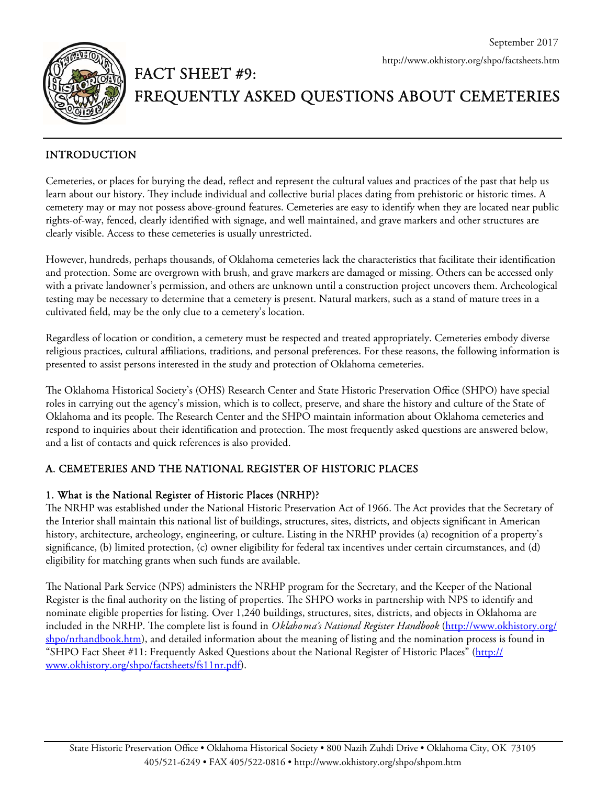

# FACT SHEET #9: FREQUENTLY ASKED QUESTIONS ABOUT CEMETERIES

# INTRODUCTION

Cemeteries, or places for burying the dead, reflect and represent the cultural values and practices of the past that help us learn about our history. They include individual and collective burial places dating from prehistoric or historic times. A cemetery may or may not possess above-ground features. Cemeteries are easy to identify when they are located near public rights-of-way, fenced, clearly identified with signage, and well maintained, and grave markers and other structures are clearly visible. Access to these cemeteries is usually unrestricted.

However, hundreds, perhaps thousands, of Oklahoma cemeteries lack the characteristics that facilitate their identification and protection. Some are overgrown with brush, and grave markers are damaged or missing. Others can be accessed only with a private landowner's permission, and others are unknown until a construction project uncovers them. Archeological testing may be necessary to determine that a cemetery is present. Natural markers, such as a stand of mature trees in a cultivated field, may be the only clue to a cemetery's location.

Regardless of location or condition, a cemetery must be respected and treated appropriately. Cemeteries embody diverse religious practices, cultural affiliations, traditions, and personal preferences. For these reasons, the following information is presented to assist persons interested in the study and protection of Oklahoma cemeteries.

The Oklahoma Historical Society's (OHS) Research Center and State Historic Preservation Office (SHPO) have special roles in carrying out the agency's mission, which is to collect, preserve, and share the history and culture of the State of Oklahoma and its people. The Research Center and the SHPO maintain information about Oklahoma cemeteries and respond to inquiries about their identification and protection. The most frequently asked questions are answered below, and a list of contacts and quick references is also provided.

# A. CEMETERIES AND THE NATIONAL REGISTER OF HISTORIC PLACES

## 1. What is the National Register of Historic Places (NRHP)?

The NRHP was established under the National Historic Preservation Act of 1966. The Act provides that the Secretary of the Interior shall maintain this national list of buildings, structures, sites, districts, and objects significant in American history, architecture, archeology, engineering, or culture. Listing in the NRHP provides (a) recognition of a property's significance, (b) limited protection, (c) owner eligibility for federal tax incentives under certain circumstances, and (d) eligibility for matching grants when such funds are available.

The National Park Service (NPS) administers the NRHP program for the Secretary, and the Keeper of the National Register is the final authority on the listing of properties. The SHPO works in partnership with NPS to identify and nominate eligible properties for listing. Over 1,240 buildings, structures, sites, districts, and objects in Oklahoma are included in the NRHP. The complete list is found in *Oklahoma's National Register Handbook* (http://www.okhistory.org/ shpo/nrhandbook.htm), and detailed information about the meaning of listing and the nomination process is found in "SHPO Fact Sheet #11: Frequently Asked Questions about the National Register of Historic Places" (http:// www.okhistory.org/shpo/factsheets/fs11nr.pdf).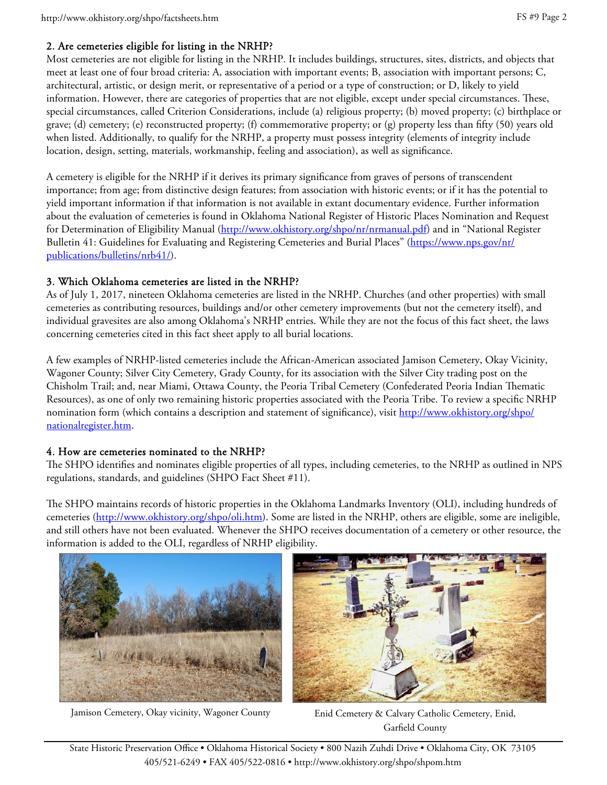#### 2. Are cemeteries eligible for listing in the NRHP?

Most cemeteries are not eligible for listing in the NRHP. It includes buildings, structures, sites, districts, and objects that meet at least one of four broad criteria: A, association with important events; B, association with important persons; C, architectural, artistic, or design merit, or representative of a period or a type of construction; or D, likely to yield information. However, there are categories of properties that are not eligible, except under special circumstances. These, special circumstances, called Criterion Considerations, include (a) religious property; (b) moved property; (c) birthplace or grave; (d) cemetery; (e) reconstructed property; (f) commemorative property; or (g) property less than fifty (50) years old when listed. Additionally, to qualify for the NRHP, a property must possess integrity (elements of integrity include location, design, setting, materials, workmanship, feeling and association), as well as significance.

A cemetery is eligible for the NRHP if it derives its primary significance from graves of persons of transcendent importance; from age; from distinctive design features; from association with historic events; or if it has the potential to yield important information if that information is not available in extant documentary evidence. Further information about the evaluation of cemeteries is found in Oklahoma National Register of Historic Places Nomination and Request for Determination of Eligibility Manual (http://www.okhistory.org/shpo/nr/nrmanual.pdf) and in "National Register Bulletin 41: Guidelines for Evaluating and Registering Cemeteries and Burial Places" (https://www.nps.gov/nr/ publications/bulletins/nrb41/).

#### 3. Which Oklahoma cemeteries are listed in the NRHP?

As of July 1, 2017, nineteen Oklahoma cemeteries are listed in the NRHP. Churches (and other properties) with small cemeteries as contributing resources, buildings and/or other cemetery improvements (but not the cemetery itself), and individual gravesites are also among Oklahoma's NRHP entries. While they are not the focus of this fact sheet, the laws concerning cemeteries cited in this fact sheet apply to all burial locations.

A few examples of NRHP-listed cemeteries include the African-American associated Jamison Cemetery, Okay Vicinity, Wagoner County; Silver City Cemetery, Grady County, for its association with the Silver City trading post on the Chisholm Trail; and, near Miami, Ottawa County, the Peoria Tribal Cemetery (Confederated Peoria Indian Thematic Resources), as one of only two remaining historic properties associated with the Peoria Tribe. To review a specific NRHP nomination form (which contains a description and statement of significance), visit http://www.okhistory.org/shpo/ nationalregister.htm.

## 4. How are cemeteries nominated to the NRHP?

The SHPO identifies and nominates eligible properties of all types, including cemeteries, to the NRHP as outlined in NPS regulations, standards, and guidelines (SHPO Fact Sheet #11).

The SHPO maintains records of historic properties in the Oklahoma Landmarks Inventory (OLI), including hundreds of cemeteries (http://www.okhistory.org/shpo/oli.htm). Some are listed in the NRHP, others are eligible, some are ineligible, and still others have not been evaluated. Whenever the SHPO receives documentation of a cemetery or other resource, the information is added to the OLI, regardless of NRHP eligibility.





Jamison Cemetery, Okay vicinity, Wagoner County Enid Cemetery & Calvary Catholic Cemetery, Enid,

Garfield County

State Historic Preservation Office • Oklahoma Historical Society • 800 Nazih Zuhdi Drive • Oklahoma City, OK 73105 405/521-6249 • FAX 405/522-0816 • http://www.okhistory.org/shpo/shpom.htm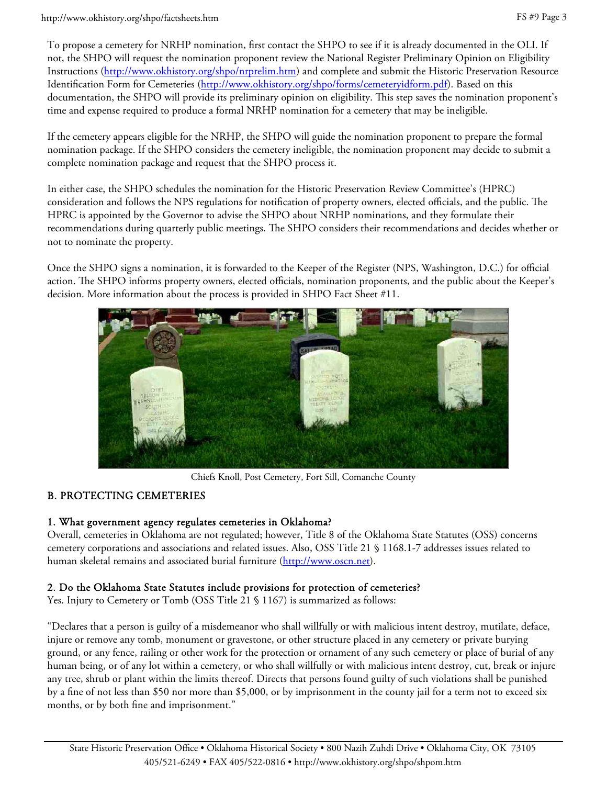#### http://www.okhistory.org/shpo/factsheets.htm

To propose a cemetery for NRHP nomination, first contact the SHPO to see if it is already documented in the OLI. If not, the SHPO will request the nomination proponent review the National Register Preliminary Opinion on Eligibility Instructions (http://www.okhistory.org/shpo/nrprelim.htm) and complete and submit the Historic Preservation Resource Identification Form for Cemeteries (http://www.okhistory.org/shpo/forms/cemeteryidform.pdf). Based on this documentation, the SHPO will provide its preliminary opinion on eligibility. This step saves the nomination proponent's time and expense required to produce a formal NRHP nomination for a cemetery that may be ineligible.

If the cemetery appears eligible for the NRHP, the SHPO will guide the nomination proponent to prepare the formal nomination package. If the SHPO considers the cemetery ineligible, the nomination proponent may decide to submit a complete nomination package and request that the SHPO process it.

In either case, the SHPO schedules the nomination for the Historic Preservation Review Committee's (HPRC) consideration and follows the NPS regulations for notification of property owners, elected officials, and the public. The HPRC is appointed by the Governor to advise the SHPO about NRHP nominations, and they formulate their recommendations during quarterly public meetings. The SHPO considers their recommendations and decides whether or not to nominate the property.

Once the SHPO signs a nomination, it is forwarded to the Keeper of the Register (NPS, Washington, D.C.) for official action. The SHPO informs property owners, elected officials, nomination proponents, and the public about the Keeper's decision. More information about the process is provided in SHPO Fact Sheet #11.



Chiefs Knoll, Post Cemetery, Fort Sill, Comanche County

# B. PROTECTING CEMETERIES

## 1. What government agency regulates cemeteries in Oklahoma?

Overall, cemeteries in Oklahoma are not regulated; however, Title 8 of the Oklahoma State Statutes (OSS) concerns cemetery corporations and associations and related issues. Also, OSS Title 21 § 1168.1-7 addresses issues related to human skeletal remains and associated burial furniture (http://www.oscn.net).

## 2. Do the Oklahoma State Statutes include provisions for protection of cemeteries?

Yes. Injury to Cemetery or Tomb (OSS Title 21 § 1167) is summarized as follows:

"Declares that a person is guilty of a misdemeanor who shall willfully or with malicious intent destroy, mutilate, deface, injure or remove any tomb, monument or gravestone, or other structure placed in any cemetery or private burying ground, or any fence, railing or other work for the protection or ornament of any such cemetery or place of burial of any human being, or of any lot within a cemetery, or who shall willfully or with malicious intent destroy, cut, break or injure any tree, shrub or plant within the limits thereof. Directs that persons found guilty of such violations shall be punished by a fine of not less than \$50 nor more than \$5,000, or by imprisonment in the county jail for a term not to exceed six months, or by both fine and imprisonment."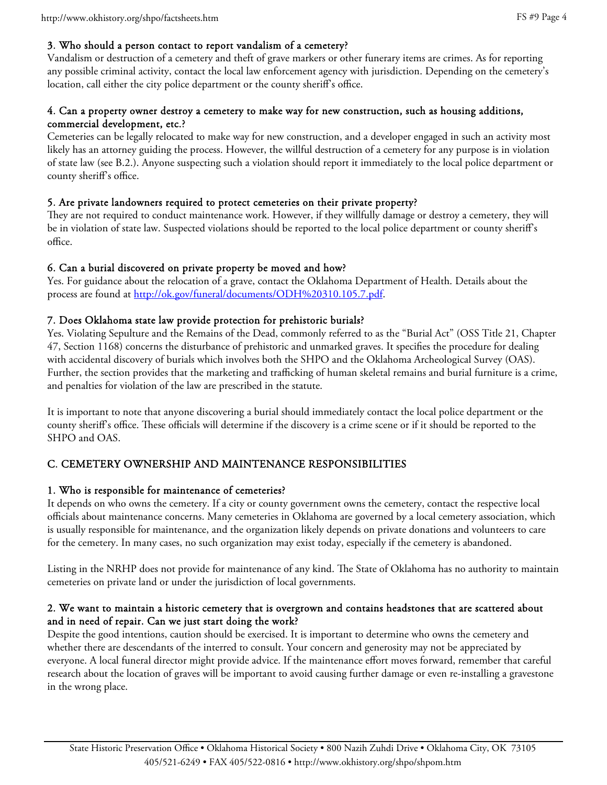#### 3. Who should a person contact to report vandalism of a cemetery?

Vandalism or destruction of a cemetery and theft of grave markers or other funerary items are crimes. As for reporting any possible criminal activity, contact the local law enforcement agency with jurisdiction. Depending on the cemetery's location, call either the city police department or the county sheriff's office.

#### 4. Can a property owner destroy a cemetery to make way for new construction, such as housing additions, commercial development, etc.?

Cemeteries can be legally relocated to make way for new construction, and a developer engaged in such an activity most likely has an attorney guiding the process. However, the willful destruction of a cemetery for any purpose is in violation of state law (see B.2.). Anyone suspecting such a violation should report it immediately to the local police department or county sheriff's office.

#### 5. Are private landowners required to protect cemeteries on their private property?

They are not required to conduct maintenance work. However, if they willfully damage or destroy a cemetery, they will be in violation of state law. Suspected violations should be reported to the local police department or county sheriff's office.

#### 6. Can a burial discovered on private property be moved and how?

Yes. For guidance about the relocation of a grave, contact the Oklahoma Department of Health. Details about the process are found at http://ok.gov/funeral/documents/ODH%20310.105.7.pdf.

#### 7. Does Oklahoma state law provide protection for prehistoric burials?

Yes. Violating Sepulture and the Remains of the Dead, commonly referred to as the "Burial Act" (OSS Title 21, Chapter 47, Section 1168) concerns the disturbance of prehistoric and unmarked graves. It specifies the procedure for dealing with accidental discovery of burials which involves both the SHPO and the Oklahoma Archeological Survey (OAS). Further, the section provides that the marketing and trafficking of human skeletal remains and burial furniture is a crime, and penalties for violation of the law are prescribed in the statute.

It is important to note that anyone discovering a burial should immediately contact the local police department or the county sheriff's office. These officials will determine if the discovery is a crime scene or if it should be reported to the SHPO and OAS.

## C. CEMETERY OWNERSHIP AND MAINTENANCE RESPONSIBILITIES

#### 1. Who is responsible for maintenance of cemeteries?

It depends on who owns the cemetery. If a city or county government owns the cemetery, contact the respective local officials about maintenance concerns. Many cemeteries in Oklahoma are governed by a local cemetery association, which is usually responsible for maintenance, and the organization likely depends on private donations and volunteers to care for the cemetery. In many cases, no such organization may exist today, especially if the cemetery is abandoned.

Listing in the NRHP does not provide for maintenance of any kind. The State of Oklahoma has no authority to maintain cemeteries on private land or under the jurisdiction of local governments.

#### 2. We want to maintain a historic cemetery that is overgrown and contains headstones that are scattered about and in need of repair. Can we just start doing the work?

Despite the good intentions, caution should be exercised. It is important to determine who owns the cemetery and whether there are descendants of the interred to consult. Your concern and generosity may not be appreciated by everyone. A local funeral director might provide advice. If the maintenance effort moves forward, remember that careful research about the location of graves will be important to avoid causing further damage or even re-installing a gravestone in the wrong place.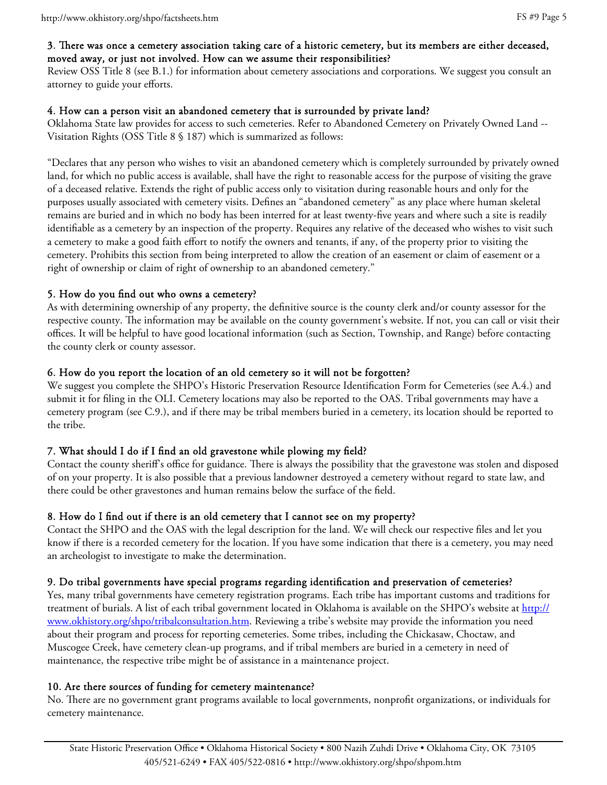#### 3. There was once a cemetery association taking care of a historic cemetery, but its members are either deceased, moved away, or just not involved. How can we assume their responsibilities?

Review OSS Title 8 (see B.1.) for information about cemetery associations and corporations. We suggest you consult an attorney to guide your efforts.

## 4. How can a person visit an abandoned cemetery that is surrounded by private land?

Oklahoma State law provides for access to such cemeteries. Refer to Abandoned Cemetery on Privately Owned Land -- Visitation Rights (OSS Title 8 § 187) which is summarized as follows:

"Declares that any person who wishes to visit an abandoned cemetery which is completely surrounded by privately owned land, for which no public access is available, shall have the right to reasonable access for the purpose of visiting the grave of a deceased relative. Extends the right of public access only to visitation during reasonable hours and only for the purposes usually associated with cemetery visits. Defines an "abandoned cemetery" as any place where human skeletal remains are buried and in which no body has been interred for at least twenty-five years and where such a site is readily identifiable as a cemetery by an inspection of the property. Requires any relative of the deceased who wishes to visit such a cemetery to make a good faith effort to notify the owners and tenants, if any, of the property prior to visiting the cemetery. Prohibits this section from being interpreted to allow the creation of an easement or claim of easement or a right of ownership or claim of right of ownership to an abandoned cemetery."

# 5. How do you find out who owns a cemetery?

As with determining ownership of any property, the definitive source is the county clerk and/or county assessor for the respective county. The information may be available on the county government's website. If not, you can call or visit their offices. It will be helpful to have good locational information (such as Section, Township, and Range) before contacting the county clerk or county assessor.

# 6. How do you report the location of an old cemetery so it will not be forgotten?

We suggest you complete the SHPO's Historic Preservation Resource Identification Form for Cemeteries (see A.4.) and submit it for filing in the OLI. Cemetery locations may also be reported to the OAS. Tribal governments may have a cemetery program (see C.9.), and if there may be tribal members buried in a cemetery, its location should be reported to the tribe.

# 7. What should I do if I find an old gravestone while plowing my field?

Contact the county sheriff's office for guidance. There is always the possibility that the gravestone was stolen and disposed of on your property. It is also possible that a previous landowner destroyed a cemetery without regard to state law, and there could be other gravestones and human remains below the surface of the field.

## 8. How do I find out if there is an old cemetery that I cannot see on my property?

Contact the SHPO and the OAS with the legal description for the land. We will check our respective files and let you know if there is a recorded cemetery for the location. If you have some indication that there is a cemetery, you may need an archeologist to investigate to make the determination.

## 9. Do tribal governments have special programs regarding identification and preservation of cemeteries?

Yes, many tribal governments have cemetery registration programs. Each tribe has important customs and traditions for treatment of burials. A list of each tribal government located in Oklahoma is available on the SHPO's website at http:// www.okhistory.org/shpo/tribalconsultation.htm. Reviewing a tribe's website may provide the information you need about their program and process for reporting cemeteries. Some tribes, including the Chickasaw, Choctaw, and Muscogee Creek, have cemetery clean-up programs, and if tribal members are buried in a cemetery in need of maintenance, the respective tribe might be of assistance in a maintenance project.

## 10. Are there sources of funding for cemetery maintenance?

No. There are no government grant programs available to local governments, nonprofit organizations, or individuals for cemetery maintenance.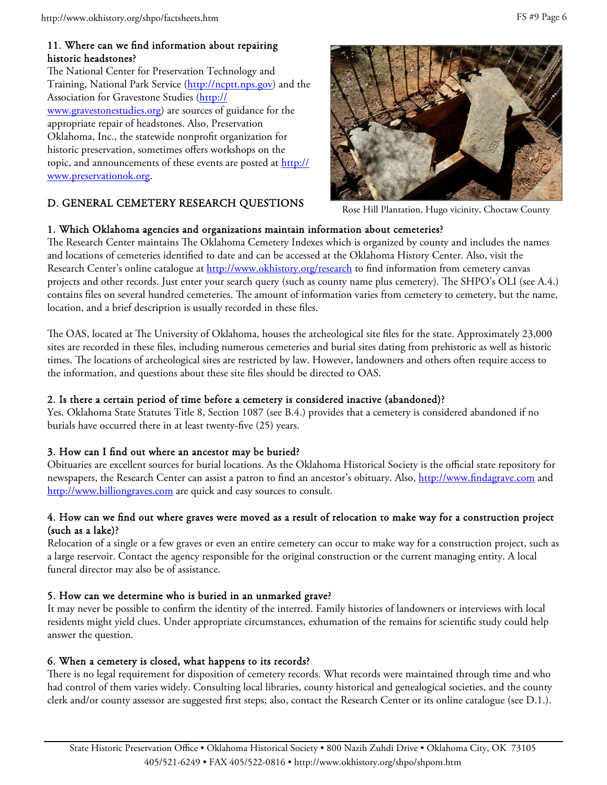#### 11. Where can we find information about repairing historic headstones?

The National Center for Preservation Technology and Training, National Park Service (http://ncptt.nps.gov) and the Association for Gravestone Studies (http:// www.gravestonestudies.org) are sources of guidance for the appropriate repair of headstones. Also, Preservation Oklahoma, Inc., the statewide nonprofit organization for historic preservation, sometimes offers workshops on the topic, and announcements of these events are posted at http:// www.preservationok.org.

# D. GENERAL CEMETERY RESEARCH QUESTIONS



Rose Hill Plantation, Hugo vicinity, Choctaw County

#### 1. Which Oklahoma agencies and organizations maintain information about cemeteries?

The Research Center maintains The Oklahoma Cemetery Indexes which is organized by county and includes the names and locations of cemeteries identified to date and can be accessed at the Oklahoma History Center. Also, visit the Research Center's online catalogue at http://www.okhistory.org/research to find information from cemetery canvas projects and other records. Just enter your search query (such as county name plus cemetery). The SHPO's OLI (see A.4.) contains files on several hundred cemeteries. The amount of information varies from cemetery to cemetery, but the name, location, and a brief description is usually recorded in these files.

The OAS, located at The University of Oklahoma, houses the archeological site files for the state. Approximately 23,000 sites are recorded in these files, including numerous cemeteries and burial sites dating from prehistoric as well as historic times. The locations of archeological sites are restricted by law. However, landowners and others often require access to the information, and questions about these site files should be directed to OAS.

#### 2. Is there a certain period of time before a cemetery is considered inactive (abandoned)?

Yes. Oklahoma State Statutes Title 8, Section 1087 (see B.4.) provides that a cemetery is considered abandoned if no burials have occurred there in at least twenty-five (25) years.

## 3. How can I find out where an ancestor may be buried?

Obituaries are excellent sources for burial locations. As the Oklahoma Historical Society is the official state repository for newspapers, the Research Center can assist a patron to find an ancestor's obituary. Also, http://www.findagrave.com and http://www.billiongraves.com are quick and easy sources to consult.

#### 4. How can we find out where graves were moved as a result of relocation to make way for a construction project (such as a lake)?

Relocation of a single or a few graves or even an entire cemetery can occur to make way for a construction project, such as a large reservoir. Contact the agency responsible for the original construction or the current managing entity. A local funeral director may also be of assistance.

## 5. How can we determine who is buried in an unmarked grave?

It may never be possible to confirm the identity of the interred. Family histories of landowners or interviews with local residents might yield clues. Under appropriate circumstances, exhumation of the remains for scientific study could help answer the question.

## 6. When a cemetery is closed, what happens to its records?

There is no legal requirement for disposition of cemetery records. What records were maintained through time and who had control of them varies widely. Consulting local libraries, county historical and genealogical societies, and the county clerk and/or county assessor are suggested first steps; also, contact the Research Center or its online catalogue (see D.1.).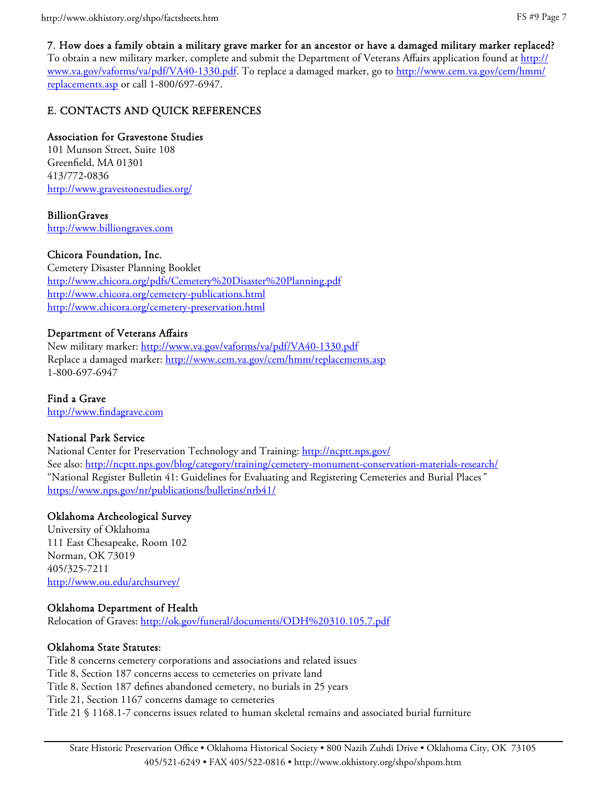7. How does a family obtain a military grave marker for an ancestor or have a damaged military marker replaced? To obtain a new military marker, complete and submit the Department of Veterans Affairs application found at http:// www.va.gov/vaforms/va/pdf/VA40-1330.pdf. To replace a damaged marker, go to http://www.cem.va.gov/cem/hmm/ replacements.asp or call 1-800/697-6947.

# E. CONTACTS AND QUICK REFERENCES

# Association for Gravestone Studies

101 Munson Street, Suite 108 Greenfield, MA 01301 413/772-0836 http://www.gravestonestudies.org/

BillionGraves http://www.billiongraves.com

# Chicora Foundation, Inc.

Cemetery Disaster Planning Booklet http://www.chicora.org/pdfs/Cemetery%20Disaster%20Planning.pdf http://www.chicora.org/cemetery-publications.html http://www.chicora.org/cemetery-preservation.html

## Department of Veterans Affairs

New military marker: http://www.va.gov/vaforms/va/pdf/VA40-1330.pdf Replace a damaged marker: http://www.cem.va.gov/cem/hmm/replacements.asp 1-800-697-6947

Find a Grave http://www.findagrave.com

## National Park Service

National Center for Preservation Technology and Training: http://ncptt.nps.gov/ See also: http://ncptt.nps.gov/blog/category/training/cemetery-monument-conservation-materials-research/ "National Register Bulletin 41: Guidelines for Evaluating and Registering Cemeteries and Burial Places*"* https://www.nps.gov/nr/publications/bulletins/nrb41/

# Oklahoma Archeological Survey

University of Oklahoma 111 East Chesapeake, Room 102 Norman, OK 73019 405/325-7211 http://www.ou.edu/archsurvey/

## Oklahoma Department of Health

Relocation of Graves: http://ok.gov/funeral/documents/ODH%20310.105.7.pdf

## Oklahoma State Statutes:

Title 8 concerns cemetery corporations and associations and related issues Title 8, Section 187 concerns access to cemeteries on private land Title 8, Section 187 defines abandoned cemetery, no burials in 25 years Title 21, Section 1167 concerns damage to cemeteries Title 21 § 1168.1-7 concerns issues related to human skeletal remains and associated burial furniture